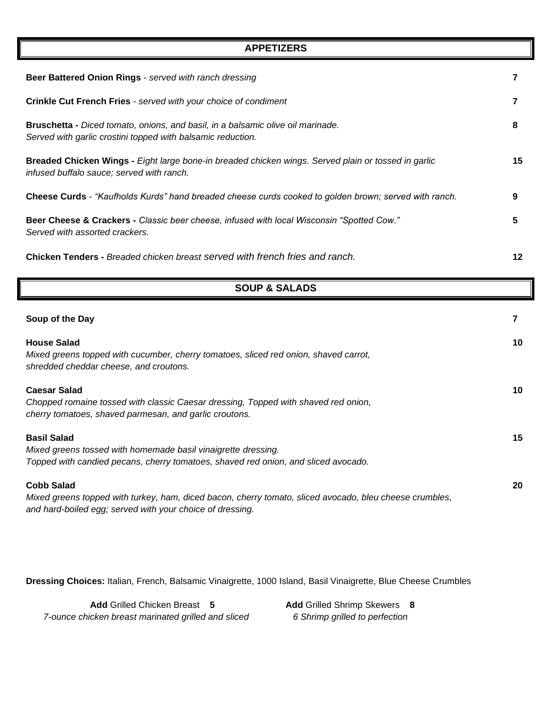| Beer Battered Onion Rings - served with ranch dressing                                                                                           | 7  |
|--------------------------------------------------------------------------------------------------------------------------------------------------|----|
| <b>Crinkle Cut French Fries</b> - served with your choice of condiment                                                                           | 7  |
| Bruschetta - Diced tomato, onions, and basil, in a balsamic olive oil marinade.<br>Served with garlic crostini topped with balsamic reduction.   | 8  |
| Breaded Chicken Wings - Eight large bone-in breaded chicken wings. Served plain or tossed in garlic<br>infused buffalo sauce; served with ranch. | 15 |
| Cheese Curds - "Kaufholds Kurds" hand breaded cheese curds cooked to golden brown; served with ranch.                                            | 9  |
| Beer Cheese & Crackers - Classic beer cheese, infused with local Wisconsin "Spotted Cow."<br>Served with assorted crackers.                      | 5  |
| Chicken Tenders - Breaded chicken breast served with french fries and ranch.                                                                     | 12 |

**APPETIZERS**

|  |  |  | <b>SOUP &amp; SALADS</b> |
|--|--|--|--------------------------|
|--|--|--|--------------------------|

| Soup of the Day                                                                                                                                                                           |    |
|-------------------------------------------------------------------------------------------------------------------------------------------------------------------------------------------|----|
| <b>House Salad</b><br>Mixed greens topped with cucumber, cherry tomatoes, sliced red onion, shaved carrot,<br>shredded cheddar cheese, and croutons.                                      | 10 |
| <b>Caesar Salad</b><br>Chopped romaine tossed with classic Caesar dressing, Topped with shaved red onion,<br>cherry tomatoes, shaved parmesan, and garlic croutons.                       | 10 |
| <b>Basil Salad</b><br>Mixed greens tossed with homemade basil vinaigrette dressing.<br>Topped with candied pecans, cherry tomatoes, shaved red onion, and sliced avocado.                 | 15 |
| <b>Cobb Salad</b><br>Mixed greens topped with turkey, ham, diced bacon, cherry tomato, sliced avocado, bleu cheese crumbles,<br>and hard-boiled egg; served with your choice of dressing. | 20 |

**Dressing Choices:** Italian, French, Balsamic Vinaigrette, 1000 Island, Basil Vinaigrette, Blue Cheese Crumbles

**Add** Grilled Chicken Breast **5 Add** Grilled Shrimp Skewers **8**  *7-ounce chicken breast marinated grilled and sliced 6 Shrimp grilled to perfection*